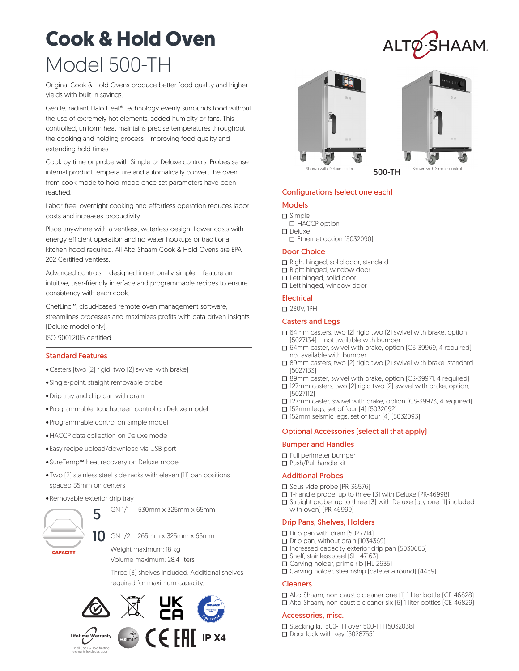# **Cook & Hold Oven** Model 500-TH

Original Cook & Hold Ovens produce better food quality and higher yields with built-in savings.

Gentle, radiant Halo Heat® technology evenly surrounds food without the use of extremely hot elements, added humidity or fans. This controlled, uniform heat maintains precise temperatures throughout the cooking and holding process—improving food quality and extending hold times.

Cook by time or probe with Simple or Deluxe controls. Probes sense internal product temperature and automatically convert the oven from cook mode to hold mode once set parameters have been reached.

Labor-free, overnight cooking and effortless operation reduces labor costs and increases productivity.

Place anywhere with a ventless, waterless design. Lower costs with energy efficient operation and no water hookups or traditional kitchen hood required. All Alto-Shaam Cook & Hold Ovens are EPA 202 Certified ventless.

Advanced controls – designed intentionally simple – feature an intuitive, user-friendly interface and programmable recipes to ensure consistency with each cook.

ChefLinc™, cloud-based remote oven management software, streamlines processes and maximizes profits with data-driven insights (Deluxe model only).

ISO 9001:2015-certified

# Standard Features

- •Casters (two (2) rigid, two (2) swivel with brake)
- Single-point, straight removable probe
- •Drip tray and drip pan with drain
- Programmable, touchscreen control on Deluxe model
- Programmable control on Simple model
- •HACCP data collection on Deluxe model
- Easy recipe upload/download via USB port
- SureTemp™ heat recovery on Deluxe model
- Two (2) stainless steel side racks with eleven (11) pan positions spaced 35mm on centers
- Removable exterior drip tray



GN 1/1 — 530mm x 325mm x 65mm

GN 1/2 —265mm x 325mm x 65mm

Weight maximum: 18 kg Volume maximum: 28.4 liters

Three (3) shelves included. Additional shelves required for maximum capacity.











ALTØ-SHAAM

# Configurations (select one each)

# Models

- □ Simple □ HACCP option
- □ Deluxe
- □ Ethernet option (5032090)

#### Door Choice

- □ Right hinged, solid door, standard
- □ Right hinged, window door
- □ Left hinged, solid door
- □ Left hinged, window door

# **Electrical**

■ 230V, 1PH

#### Casters and Legs

- $\Box$  64mm casters, two [2] rigid two [2] swivel with brake, option (5027134) – not available with bumper
- □ 64mm caster, swivel with brake, option [CS-39969, 4 required] not available with bumper
- $\square$  89mm casters, two [2] rigid two [2] swivel with brake, standard (5027133)
- □ 89mm caster, swivel with brake, option [CS-39971, 4 required]
- $\square$  127mm casters, two [2] rigid two [2] swivel with brake, option, (5027112)
- □ 127mm caster, swivel with brake, option [CS-39973, 4 required]
- □ 152mm legs, set of four [4] [5032092]
- $\Box$  152mm seismic legs, set of four [4] [5032093]

# Optional Accessories (select all that apply)

#### Bumper and Handles

- □ Full perimeter bumper
- □ Push/Pull handle kit

#### Additional Probes

- □ Sous vide probe [PR-36576]
- □ T-handle probe, up to three [3] with Deluxe (PR-46998)
- $\square$  Straight probe, up to three [3] with Deluxe [qty one [1] included with oven) (PR-46999)

# Drip Pans, Shelves, Holders

- □ Drip pan with drain [5027714]
- □ Drip pan, without drain (1034369)
- $\square$  Increased capacity exterior drip pan (5030665)
- $\Box$  Shelf, stainless steel [SH-47163]
- □ Carving holder, prime rib [HL-2635]
- □ Carving holder, steamship [cafeteria round] [4459]

#### Cleaners

□ Alto-Shaam, non-caustic cleaner one [1] 1-liter bottle [CE-46828]  $\Box$  Alto-Shaam, non-caustic cleaner six [6] 1-liter bottles [CE-46829]

#### Accessories, misc.

- □ Stacking kit, 500-TH over 500-TH (5032038)
- □ Door lock with key [5028755]

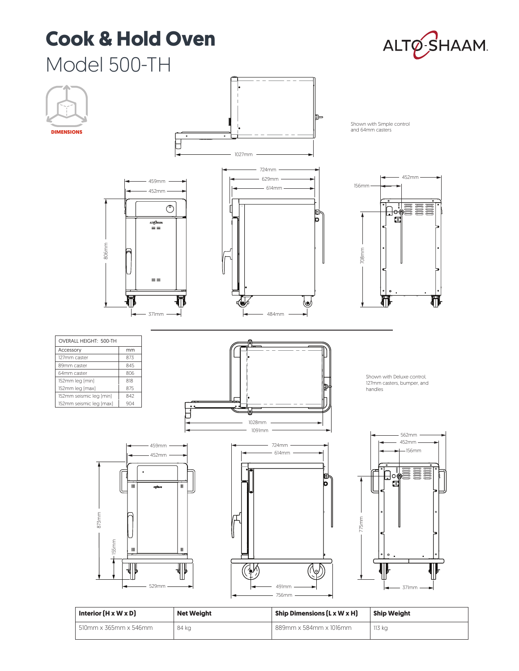# **Cook & Hold Oven**





| Interior $(H \times W \times D)$ | <b>Net Weight</b> | Ship Dimensions (L x W x H) | <b>Ship Weight</b> |
|----------------------------------|-------------------|-----------------------------|--------------------|
| 510mm x 365mm x 546mm            | 84 kg             | 889mm x 584mm x 1016mm      | 113 kg             |